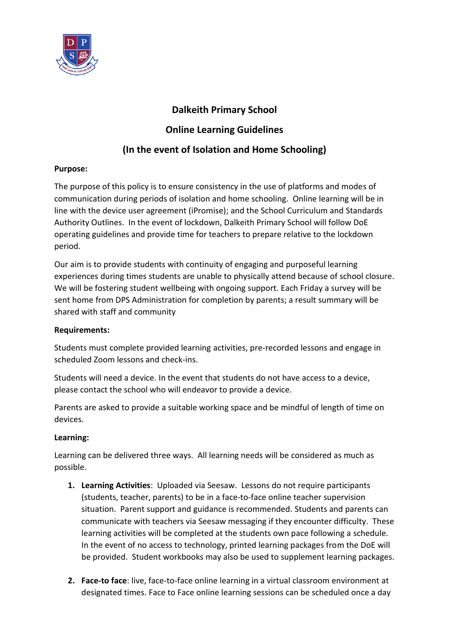

# **Dalkeith Primary School**

## **Online Learning Guidelines**

# **(In the event of Isolation and Home Schooling)**

### **Purpose:**

The purpose of this policy is to ensure consistency in the use of platforms and modes of communication during periods of isolation and home schooling. Online learning will be in line with the device user agreement (iPromise); and the School Curriculum and Standards Authority Outlines. In the event of lockdown, Dalkeith Primary School will follow DoE operating guidelines and provide time for teachers to prepare relative to the lockdown period.

Our aim is to provide students with continuity of engaging and purposeful learning experiences during times students are unable to physically attend because of school closure. We will be fostering student wellbeing with ongoing support. Each Friday a survey will be sent home from DPS Administration for completion by parents; a result summary will be shared with staff and community

### **Requirements:**

Students must complete provided learning activities, pre-recorded lessons and engage in scheduled Zoom lessons and check-ins.

Students will need a device. In the event that students do not have access to a device, please contact the school who will endeavor to provide a device.

Parents are asked to provide a suitable working space and be mindful of length of time on devices.

### **Learning:**

Learning can be delivered three ways.All learning needs will be considered as much as possible.

- **1. Learning Activities**: Uploaded via Seesaw. Lessons do not require participants (students, teacher, parents) to be in a face-to-face online teacher supervision situation. Parent support and guidance is recommended. Students and parents can communicate with teachers via Seesaw messaging if they encounter difficulty. These learning activities will be completed at the students own pace following a schedule. In the event of no access to technology, printed learning packages from the DoE will be provided. Student workbooks may also be used to supplement learning packages.
- **2. Face-to face**: live, face-to-face online learning in a virtual classroom environment at designated times. Face to Face online learning sessions can be scheduled once a day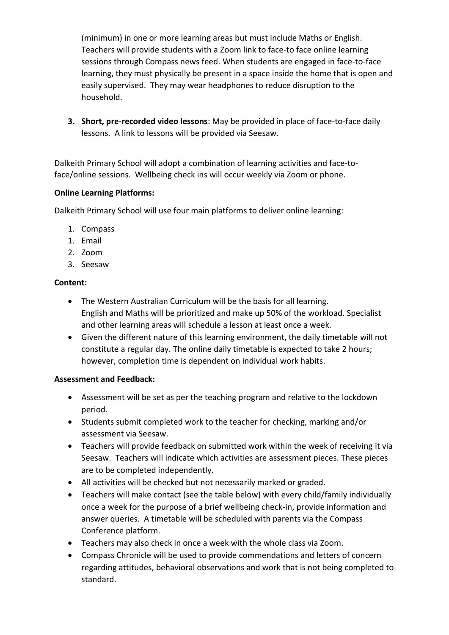(minimum) in one or more learning areas but must include Maths or English. Teachers will provide students with a Zoom link to face-to face online learning sessions through Compass news feed. When students are engaged in face-to-face learning, they must physically be present in a space inside the home that is open and easily supervised. They may wear headphones to reduce disruption to the household.

**3. Short, pre-recorded video lessons**: May be provided in place of face-to-face daily lessons. A link to lessons will be provided via Seesaw.

Dalkeith Primary School will adopt a combination of learning activities and face-toface/online sessions. Wellbeing check ins will occur weekly via Zoom or phone.

### **Online Learning Platforms:**

Dalkeith Primary School will use four main platforms to deliver online learning:

- 1. Compass
- 1. Email
- 2. Zoom
- 3. Seesaw

## **Content:**

- The Western Australian Curriculum will be the basis for all learning. English and Maths will be prioritized and make up 50% of the workload. Specialist and other learning areas will schedule a lesson at least once a week.
- Given the different nature of this learning environment, the daily timetable will not constitute a regular day. The online daily timetable is expected to take 2 hours; however, completion time is dependent on individual work habits.

### **Assessment and Feedback:**

- Assessment will be set as per the teaching program and relative to the lockdown period.
- Students submit completed work to the teacher for checking, marking and/or assessment via Seesaw.
- Teachers will provide feedback on submitted work within the week of receiving it via Seesaw. Teachers will indicate which activities are assessment pieces. These pieces are to be completed independently.
- All activities will be checked but not necessarily marked or graded.
- Teachers will make contact (see the table below) with every child/family individually once a week for the purpose of a brief wellbeing check-in, provide information and answer queries. A timetable will be scheduled with parents via the Compass Conference platform.
- Teachers may also check in once a week with the whole class via Zoom.
- Compass Chronicle will be used to provide commendations and letters of concern regarding attitudes, behavioral observations and work that is not being completed to standard.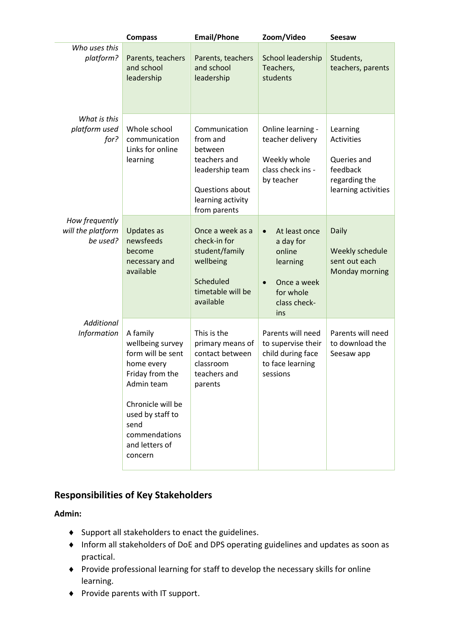|                                                 | <b>Compass</b>                                                                                                                                                                                  | <b>Email/Phone</b>                                                                                                              | Zoom/Video                                                                                                                    | <b>Seesaw</b>                                                                                    |
|-------------------------------------------------|-------------------------------------------------------------------------------------------------------------------------------------------------------------------------------------------------|---------------------------------------------------------------------------------------------------------------------------------|-------------------------------------------------------------------------------------------------------------------------------|--------------------------------------------------------------------------------------------------|
| Who uses this<br>platform?                      | Parents, teachers<br>and school<br>leadership                                                                                                                                                   | Parents, teachers<br>and school<br>leadership                                                                                   | School leadership<br>Teachers,<br>students                                                                                    | Students,<br>teachers, parents                                                                   |
| What is this<br>platform used<br>for?           | Whole school<br>communication<br>Links for online<br>learning                                                                                                                                   | Communication<br>from and<br>between<br>teachers and<br>leadership team<br>Questions about<br>learning activity<br>from parents | Online learning -<br>teacher delivery<br>Weekly whole<br>class check ins -<br>by teacher                                      | Learning<br><b>Activities</b><br>Queries and<br>feedback<br>regarding the<br>learning activities |
| How frequently<br>will the platform<br>be used? | Updates as<br>newsfeeds<br>become<br>necessary and<br>available                                                                                                                                 | Once a week as a<br>check-in for<br>student/family<br>wellbeing<br>Scheduled<br>timetable will be<br>available                  | At least once<br>$\bullet$<br>a day for<br>online<br>learning<br>Once a week<br>$\bullet$<br>for whole<br>class check-<br>ins | Daily<br>Weekly schedule<br>sent out each<br>Monday morning                                      |
| <b>Additional</b><br>Information                | A family<br>wellbeing survey<br>form will be sent<br>home every<br>Friday from the<br>Admin team<br>Chronicle will be<br>used by staff to<br>send<br>commendations<br>and letters of<br>concern | This is the<br>primary means of<br>contact between<br>classroom<br>teachers and<br>parents                                      | Parents will need<br>to supervise their<br>child during face<br>to face learning<br>sessions                                  | Parents will need<br>to download the<br>Seesaw app                                               |

# **Responsibilities of Key Stakeholders**

### **Admin:**

- Support all stakeholders to enact the guidelines.
- Inform all stakeholders of DoE and DPS operating guidelines and updates as soon as practical.
- Provide professional learning for staff to develop the necessary skills for online learning.
- ◆ Provide parents with IT support.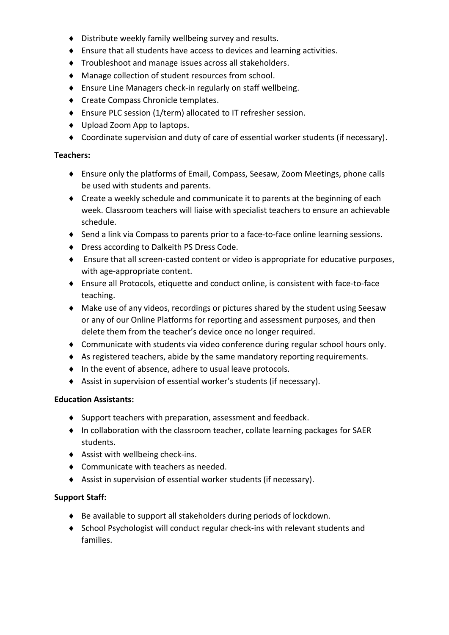- Distribute weekly family wellbeing survey and results.
- Ensure that all students have access to devices and learning activities.
- Troubleshoot and manage issues across all stakeholders.
- Manage collection of student resources from school.
- Ensure Line Managers check-in regularly on staff wellbeing.
- ◆ Create Compass Chronicle templates.
- Ensure PLC session (1/term) allocated to IT refresher session.
- ◆ Upload Zoom App to laptops.
- Coordinate supervision and duty of care of essential worker students (if necessary).

#### **Teachers:**

- Ensure only the platforms of Email, Compass, Seesaw, Zoom Meetings, phone calls be used with students and parents.
- Create a weekly schedule and communicate it to parents at the beginning of each week. Classroom teachers will liaise with specialist teachers to ensure an achievable schedule.
- Send a link via Compass to parents prior to a face-to-face online learning sessions.
- ◆ Dress according to Dalkeith PS Dress Code.
- Ensure that all screen-casted content or video is appropriate for educative purposes, with age-appropriate content.
- Ensure all Protocols, etiquette and conduct online, is consistent with face-to-face teaching.
- Make use of any videos, recordings or pictures shared by the student using Seesaw or any of our Online Platforms for reporting and assessment purposes, and then delete them from the teacher's device once no longer required.
- Communicate with students via video conference during regular school hours only.
- As registered teachers, abide by the same mandatory reporting requirements.
- In the event of absence, adhere to usual leave protocols.
- Assist in supervision of essential worker's students (if necessary).

### **Education Assistants:**

- Support teachers with preparation, assessment and feedback.
- In collaboration with the classroom teacher, collate learning packages for SAER students.
- Assist with wellbeing check-ins.
- ◆ Communicate with teachers as needed.
- Assist in supervision of essential worker students (if necessary).

### **Support Staff:**

- Be available to support all stakeholders during periods of lockdown.
- School Psychologist will conduct regular check-ins with relevant students and families.